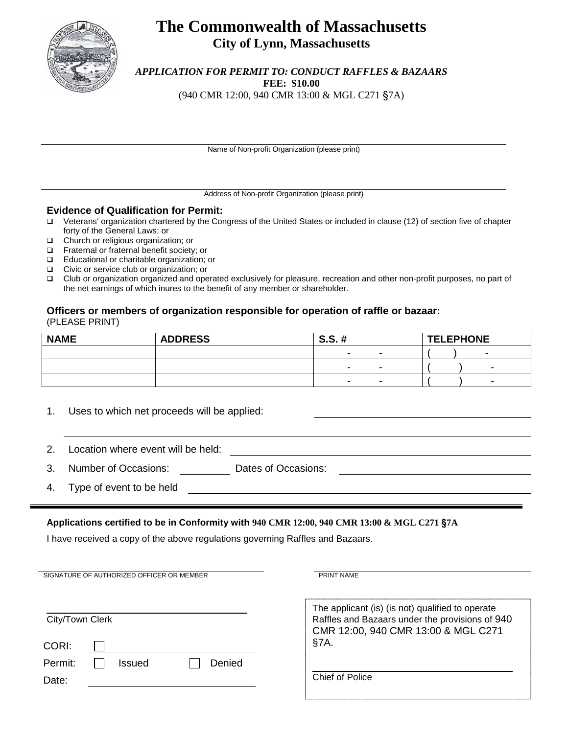

### **The Commonwealth of Massachusetts City of Lynn, Massachusetts**

*APPLICATION FOR PERMIT TO: CONDUCT RAFFLES & BAZAARS* **FEE: \$10.00** (940 CMR 12:00, 940 CMR 13:00 & MGL C271 §7A)

Name of Non-profit Organization (please print)

Address of Non-profit Organization (please print)

#### **Evidence of Qualification for Permit:**

- Veterans' organization chartered by the Congress of the United States or included in clause (12) of section five of chapter forty of the General Laws; or
- $\Box$  Church or religious organization; or Fraternal or fraternal benefit society
- Fraternal or fraternal benefit society; or
- Educational or charitable organization; or
- □ Civic or service club or organization; or<br>□ Club or organization organized and one
- Club or organization organized and operated exclusively for pleasure, recreation and other non-profit purposes, no part of the net earnings of which inures to the benefit of any member or shareholder.

### **Officers or members of organization responsible for operation of raffle or bazaar:** (PLEASE PRINT)

| <b>NAME</b> | <b>ADDRESS</b> | <b>S.S.</b><br>#<br>TT. |                          | <b>TELEPHONE</b> |   |
|-------------|----------------|-------------------------|--------------------------|------------------|---|
|             |                |                         |                          |                  |   |
|             |                |                         | $\overline{\phantom{a}}$ |                  | - |
|             |                |                         |                          |                  | - |

<u> 1980 - Johann Barbara, martxa amerikan personal (h. 1980).</u>

- 1. Uses to which net proceeds will be applied:
- 2. Location where event will be held:

3. Number of Occasions: Dates of Occasions:

4. Type of event to be held

### **Applications certified to be in Conformity with 940 CMR 12:00, 940 CMR 13:00 & MGL C271** §**7A**

I have received a copy of the above regulations governing Raffles and Bazaars.

| SIGNATURE OF AUTHORIZED OFFICER OR MEMBER | PRINT NAME                                                                             |  |  |
|-------------------------------------------|----------------------------------------------------------------------------------------|--|--|
|                                           |                                                                                        |  |  |
|                                           | The applicant (is) (is not) qualified to operate                                       |  |  |
| City/Town Clerk                           | Raffles and Bazaars under the provisions of 940<br>CMR 12:00, 940 CMR 13:00 & MGL C271 |  |  |
| CORI:                                     | §7A.                                                                                   |  |  |
| Permit:<br>Denied<br>Issued               |                                                                                        |  |  |
| Date:                                     | Chief of Police                                                                        |  |  |
|                                           |                                                                                        |  |  |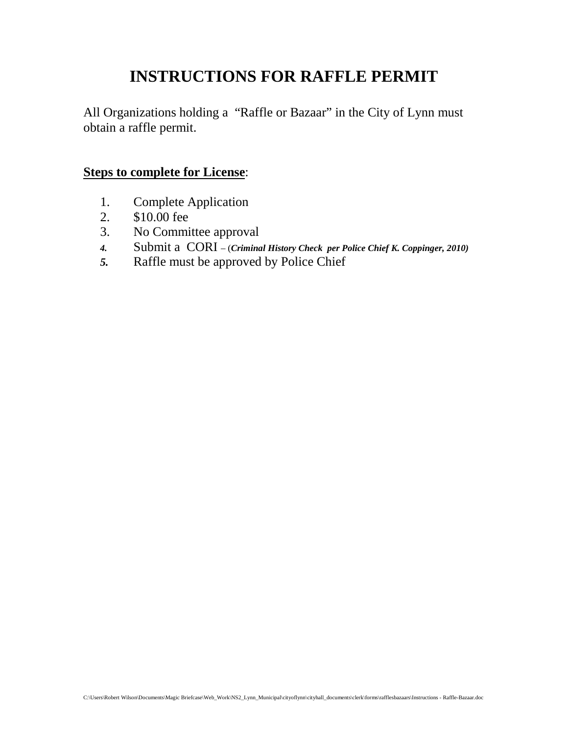## **INSTRUCTIONS FOR RAFFLE PERMIT**

All Organizations holding a "Raffle or Bazaar" in the City of Lynn must obtain a raffle permit.

### **Steps to complete for License**:

- 1. Complete Application
- 2. \$10.00 fee
- 3. No Committee approval
- *4.* Submit a CORI (*Criminal History Check per Police Chief K. Coppinger, 2010)*
- *5.* Raffle must be approved by Police Chief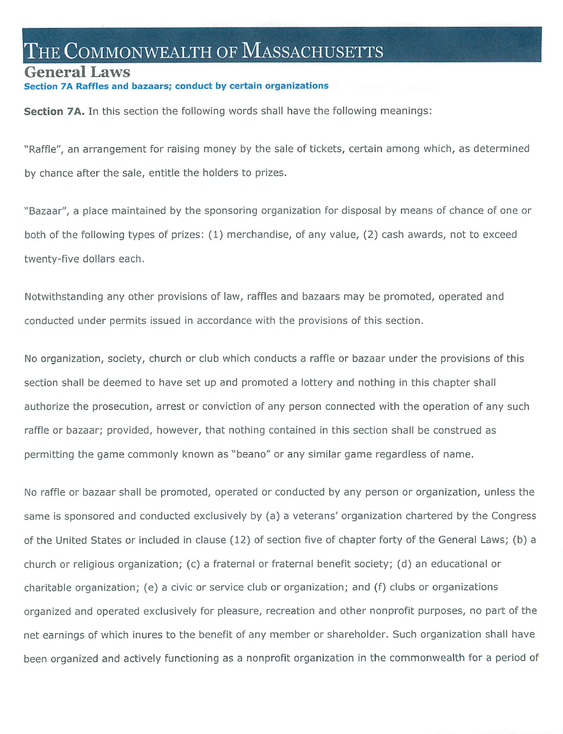# THE COMMONWEALTH OF  ${\rm MassACHUSETTS}$

### General Laws

### Raffles and bazaars; conduct by certain organizations

Section 7A. In this section the following words shall have the following meanings:

"Raffle", an arrangement for raising money by the sale of tickets, certain among which, as determined by chance after the sale, entitle the holders to prizes.

"Bazaar", a place maintained by the sponsoring organization for disposal by means of chance of one or both of the following types of prizes: (1) merchandise, of any value, (2) cash awards, not to exceed twenty-five dollars each.

Notwithstanding any other provisions of law, raffles and bazaars may be promoted, operated and conducted under permits issued in accordance with the provisions of this section.

No organization, society, church or club which conducts a raffle or bazaar under the provisions of this section shall be deemed to have set up and promoted a lottery and nothing in this chapter shall authorize the prosecution, arrest or conviction of any person connected with the operation of any such raffle or bazaar; provided, however, that nothing contained in this section shall be construed as permitting the game commonly known as "beano" or any similar game regardless of name.

No raffle or bazaar shall be promoted, operated or conducted by any person or organization, unless the same is sponsored and conducted exclusively by (a) a veterans' organization chartered by the Congress of the United States or included in clause (12) of section five of chapter forty of the General Laws; (b) a church or religious organization; (c) a fraternal or fraternal benefit society; (d) an educational or charitable organization; (e) a civic or service club or organization; and (f) clubs or organizations organized and operated exclusively for pleasure, recreation and other nonprofit purposes, no part of the net earnings of which inures to the benefit of any member or shareholder. Such organization shall have been organized and actively functioning as a nonprofit organization in the commonwealth for a period of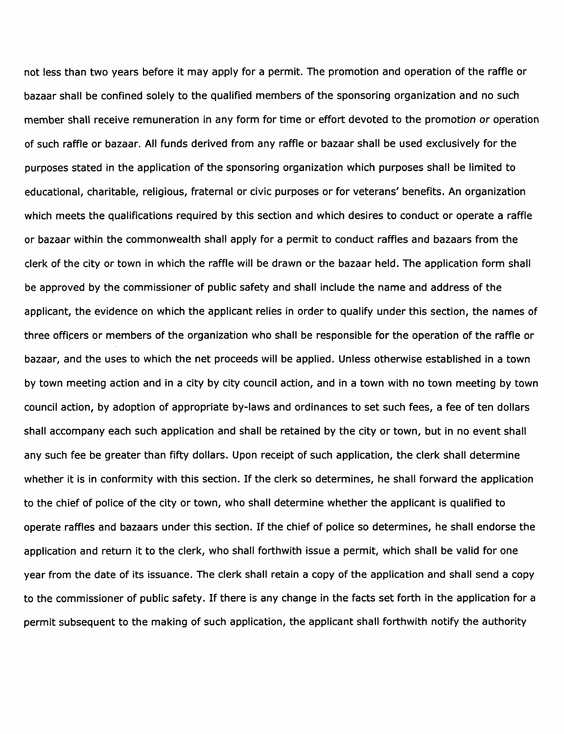not less than two years before it may apply for a permit. The promotion and operation of the raffle or bazaar shall be confined solely to the qualified members of the sponsoring organization and no such member shall receive remuneration in any form for time or effort devoted to the promotion or operation of such raffle or bazaar. All funds derived from any raffle or bazaar shall be used exclusively for the purposes stated in the application of the sponsoring organization which purposes shall be limited to educational, charitable, religious, fraternal or civic purposes or for veterans' benefits. An organization which meets the qualifications required by this section and which desires to conduct or operate a raffle or bazaar within the commonwealth shall apply for a permit to conduct raffles and bazaars from the clerk of the city or town in which the raffle will be drawn or the bazaar held. The application form shall be approved by the commissioner of public safety and shall include the name and address of the applicant, the evidence on which the applicant relies in order to qualify under this section, the names of three officers or members of the organization who shall be responsible for the operation of the raffle or bazaar, and the uses to which the net proceeds will be applied. Unless otherwise established in a town by town meeting action and in a city by city council action, and in a town with no town meeting by town council action, by adoption of appropriate by-laws and ordinances to set such fees, a fee of ten dollars shall accompany each such application and shall be retained by the city or town, but in no event shall any such fee be greater than fifty dollars. Upon receipt of such application, the clerk shall determine whether it is in conformity with this section. If the clerk so determines, he shall forward the application to the chief of police of the city or town, who shall determine whether the applicant is qualified to operate raffles and bazaars under this section. If the chief of police so determines, he shall endorse the application and return it to the clerk, who shall forthwith issue a permit, which shall be valid for one year from the date of its issuance. The clerk shall retain a copy of the application and shall send a copy to the commissioner of public safety. If there is any change in the facts set forth in the application for a permit subsequent to the making of such application, the applicant shall forthwith notify the authority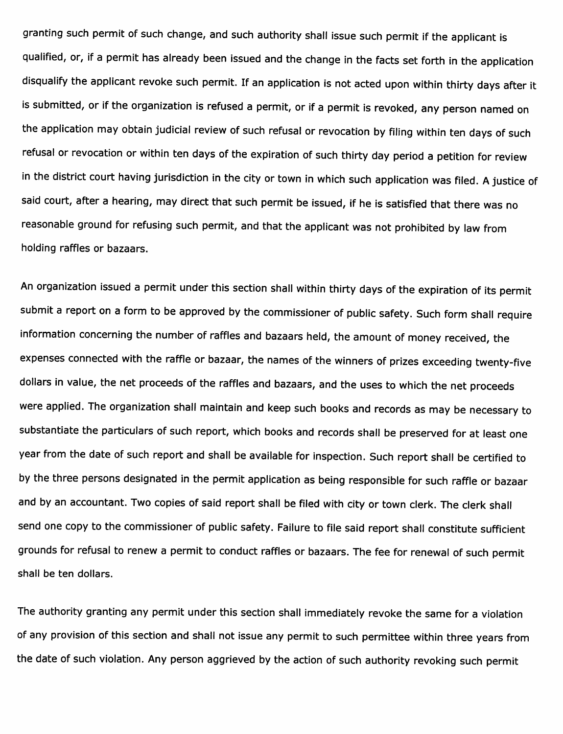granting such permit of such change, and such authority shall issue such permit if the applicant is qualified, or, if a permit has already been issued and the change in the facts set forth in the application disqualify the applicant revoke such permit. If an application is not acted upon within thirty days after it is submitted, or if the organization is refused a permit, or if a permit is revoked, any person named on the application may obtain judicial review of such refusal or revocation by filing within ten days of such refusal or revocation or within ten days of the expiration of such thirty day period a petition for review in the district court having jurisdiction in the city or town in which such application was filed. A justice of said court, after a hearing, may direct that such permit be issued, if he is satisfied that there was no reasonable ground for refusing such permit, and that the applicant was not prohibited by law from holding raffles or bazaars.

An organization issued a permit under this section shall within thirty days of the expiration of its permit submit a report on a form to be approved by the commissioner of public safety. Such form shall require information concerning the number of raffles and bazaars held, the amount of money received, the expenses connected with the raffle or bazaar, the names of the winners of prizes exceeding twenty-five dollars in value, the net proceeds of the raffles and bazaars, and the uses to which the net proceeds were applied. The organization shall maintain and keep such books and records as may be necessary to substantiate the particulars of such report, which books and records shall be preserved for at least one year from the date of such report and shall be available for inspection. Such report shall be certified to by the three persons designated in the permit application as being responsible for such raffle or bazaar and by an accountant. Two copies of said report shall be filed with city or town clerk. The clerk shall send one copy to the commissioner of public safety. Failure to file said report shall constitute sufficient grounds for refusal to renew a permit to conduct raffles or bazaars. The fee for renewal of such permit shall be ten dollars.

The authority granting any permit under this section shall immediately revoke the same for a violation of any provision of this section and shall not issue any permit to such permittee within three years from the date of such violation. Any person aggrieved by the action of such authority revoking such permit